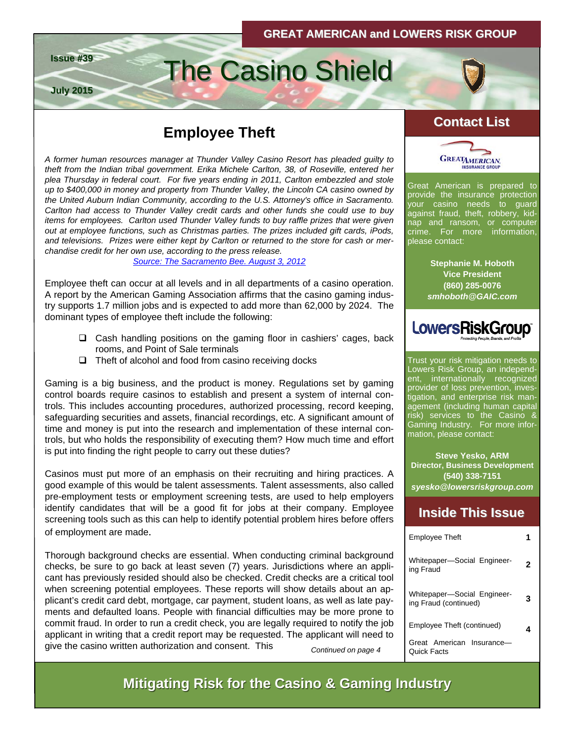# **Employee Theft Contact List**

**Issue #39 The Casino Shield** 

**July 2015**

*A former human resources manager at Thunder Valley Casino Resort has pleaded guilty to theft from the Indian tribal government. Erika Michele Carlton, 38, of Roseville, entered her plea Thursday in federal court. For five years ending in 2011, Carlton embezzled and stole up to \$400,000 in money and property from Thunder Valley, the Lincoln CA casino owned by the United Auburn Indian Community, according to the U.S. Attorney's office in Sacramento. Carlton had access to Thunder Valley credit cards and other funds she could use to buy items for employees. Carlton used Thunder Valley funds to buy raffle prizes that were given out at employee functions, such as Christmas parties. The prizes included gift cards, iPods, and televisions. Prizes were either kept by Carlton or returned to the store for cash or merchandise credit for her own use, according to the press release.* 

*[Source: The Sacramento Bee. August 3, 2012](http://blogs.sacbee.com/crime/archives/2012/08/former-thunder-valley-employee-pleads-to-theft-from-casino.html)*

Employee theft can occur at all levels and in all departments of a casino operation. A report by the American Gaming Association affirms that the casino gaming industry supports 1.7 million jobs and is expected to add more than 62,000 by 2024. The dominant types of employee theft include the following:

- $\Box$  Cash handling positions on the gaming floor in cashiers' cages, back rooms, and Point of Sale terminals
- $\Box$  Theft of alcohol and food from casino receiving docks

Gaming is a big business, and the product is money. Regulations set by gaming control boards require casinos to establish and present a system of internal controls. This includes accounting procedures, authorized processing, record keeping, safeguarding securities and assets, financial recordings, etc. A significant amount of time and money is put into the research and implementation of these internal controls, but who holds the responsibility of executing them? How much time and effort is put into finding the right people to carry out these duties?

Casinos must put more of an emphasis on their recruiting and hiring practices. A good example of this would be talent assessments. Talent assessments, also called [pre-employment tests](http://jobsearch.about.com/od/jobsearchglossary/g/employmenttest.htm) or [employment screening tests](http://jobsearch.about.com/od/careertests/a/employmenttests.htm), are used to help employers identify candidates that will be a [good fit](http://jobsearch.about.com/od/companyresearch/fl/what-is-candidate-fit.htm) for jobs at their company. Employee screening tools such as this can help to identify potential problem hires before offers of employment are made.

Thorough background checks are essential. When conducting criminal background checks, be sure to go back at least seven (7) years. Jurisdictions where an applicant has previously resided should also be checked. Credit checks are a critical tool when screening potential employees. These reports will show details about an applicant's credit card debt, mortgage, car payment, student loans, as well as late payments and defaulted loans. People with financial difficulties may be more prone to commit fraud. In order to run a credit check, you are legally required to notify the job applicant in writing that a credit report may be requested. The applicant will need to give the casino written authorization and consent. This



Great American is prepared to provide the insurance protection your casino needs to guard against fraud, theft, robbery, kidnap and ransom, or computer crime. For more information, please contact:

> **Stephanie M. Hoboth Vice President (860) 285-0076**  *smhoboth@GAIC.com*



Trust your risk mitigation needs to Lowers Risk Group, an independent, internationally recognized provider of loss prevention, investigation, and enterprise risk management (including human capital risk) services to the Casino & Gaming Industry. For more information, please contact:

**Steve Yesko, ARM Director, Business Development (540) 338-7151**  *syesko@lowersriskgroup.com* 

#### **Inside This Issue Inside This Issue**

| <b>Employee Theft</b>                                |  |
|------------------------------------------------------|--|
| Whitepaper-Social Engineer-<br>ing Fraud             |  |
| Whitepaper-Social Engineer-<br>ing Fraud (continued) |  |
| Employee Theft (continued)                           |  |
| American Insurance<br>Great<br>ick Facts             |  |

*Continued on page 4* 

**Mitigating Risk for the Casino & Gaming Industry**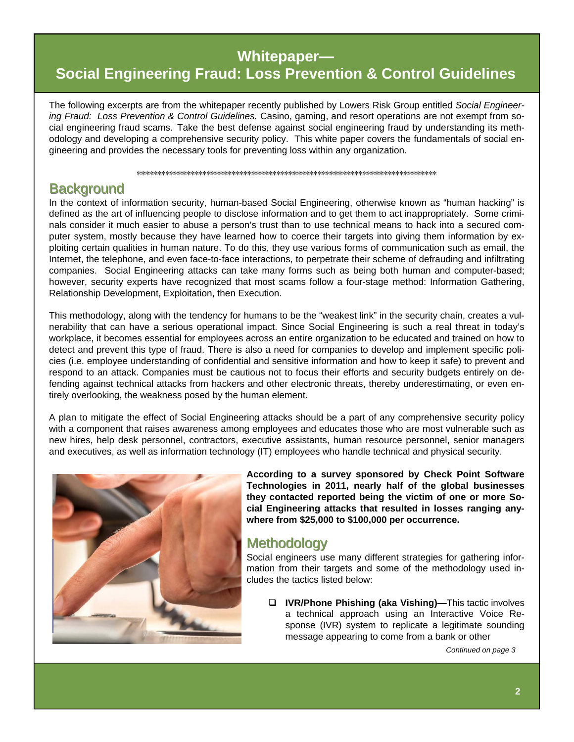#### Whitepaper-

# **Social Engineering Fraud: Loss Prevention & Control Guidelines**

The following excerpts are from the whitepaper recently published by Lowers Risk Group entitled Social Engineering Fraud: Loss Prevention & Control Guidelines. Casino, gaming, and resort operations are not exempt from social engineering fraud scams. Take the best defense against social engineering fraud by understanding its methodology and developing a comprehensive security policy. This white paper covers the fundamentals of social engineering and provides the necessary tools for preventing loss within any organization.

#### **Background**

In the context of information security, human-based Social Engineering, otherwise known as "human hacking" is defined as the art of influencing people to disclose information and to get them to act inappropriately. Some criminals consider it much easier to abuse a person's trust than to use technical means to hack into a secured computer system, mostly because they have learned how to coerce their targets into giving them information by exploiting certain qualities in human nature. To do this, they use various forms of communication such as email, the Internet, the telephone, and even face-to-face interactions, to perpetrate their scheme of defrauding and infiltrating companies. Social Engineering attacks can take many forms such as being both human and computer-based; however, security experts have recognized that most scams follow a four-stage method: Information Gathering, Relationship Development, Exploitation, then Execution.

This methodology, along with the tendency for humans to be the "weakest link" in the security chain, creates a vulnerability that can have a serious operational impact. Since Social Engineering is such a real threat in today's workplace, it becomes essential for employees across an entire organization to be educated and trained on how to detect and prevent this type of fraud. There is also a need for companies to develop and implement specific policies (i.e. employee understanding of confidential and sensitive information and how to keep it safe) to prevent and respond to an attack. Companies must be cautious not to focus their efforts and security budgets entirely on defending against technical attacks from hackers and other electronic threats, thereby underestimating, or even entirely overlooking, the weakness posed by the human element.

A plan to mitigate the effect of Social Engineering attacks should be a part of any comprehensive security policy with a component that raises awareness among employees and educates those who are most vulnerable such as new hires, help desk personnel, contractors, executive assistants, human resource personnel, senior managers and executives, as well as information technology (IT) employees who handle technical and physical security.



According to a survey sponsored by Check Point Software Technologies in 2011, nearly half of the global businesses they contacted reported being the victim of one or more Social Engineering attacks that resulted in losses ranging anywhere from \$25,000 to \$100,000 per occurrence.

#### **Methodology**

Social engineers use many different strategies for gathering information from their targets and some of the methodology used includes the tactics listed below:

□ IVR/Phone Phishing (aka Vishing)—This tactic involves a technical approach using an Interactive Voice Response (IVR) system to replicate a legitimate sounding message appearing to come from a bank or other

Continued on page 3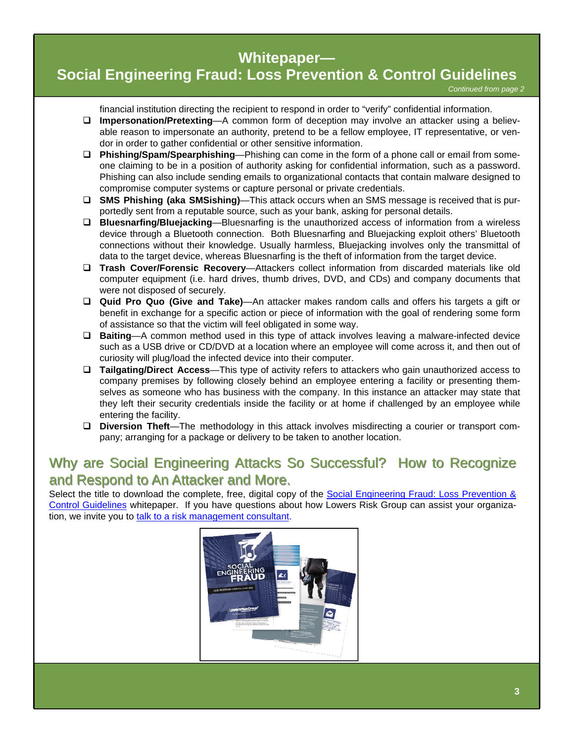#### **Whitepaper—**

# **[Social Engineering Fraud: Loss Prevention & Control Guidelines](http://www.lowersriskgroup.com/lp/social-engineering-fraud)**

financial institution directing the recipient to respond in order to "verify" confidential information.

- **Impersonation/Pretexting**—A common form of deception may involve an attacker using a believable reason to impersonate an authority, pretend to be a fellow employee, IT representative, or vendor in order to gather confidential or other sensitive information.
- **Phishing/Spam/Spearphishing**—Phishing can come in the form of a phone call or email from someone claiming to be in a position of authority asking for confidential information, such as a password. Phishing can also include sending emails to organizational contacts that contain malware designed to compromise computer systems or capture personal or private credentials.
- **SMS Phishing (aka SMSishing)**—This attack occurs when an SMS message is received that is purportedly sent from a reputable source, such as your bank, asking for personal details.
- **Bluesnarfing/Bluejacking**—Bluesnarfing is the unauthorized access of information from a wireless device through a Bluetooth connection. Both Bluesnarfing and Bluejacking exploit others' Bluetooth connections without their knowledge. Usually harmless, Bluejacking involves only the transmittal of data to the target device, whereas Bluesnarfing is the theft of information from the target device.
- **Trash Cover/Forensic Recovery**—Attackers collect information from discarded materials like old computer equipment (i.e. hard drives, thumb drives, DVD, and CDs) and company documents that were not disposed of securely.
- **Quid Pro Quo (Give and Take)**—An attacker makes random calls and offers his targets a gift or benefit in exchange for a specific action or piece of information with the goal of rendering some form of assistance so that the victim will feel obligated in some way.
- **Baiting**—A common method used in this type of attack involves leaving a malware-infected device such as a USB drive or CD/DVD at a location where an employee will come across it, and then out of curiosity will plug/load the infected device into their computer.
- **Tailgating/Direct Access**—This type of activity refers to attackers who gain unauthorized access to company premises by following closely behind an employee entering a facility or presenting themselves as someone who has business with the company. In this instance an attacker may state that they left their security credentials inside the facility or at home if challenged by an employee while entering the facility.
- **Diversion Theft**—The methodology in this attack involves misdirecting a courier or transport company; arranging for a package or delivery to be taken to another location.

## Why are Social Engineering Attacks So Successful? How to Recognize and Respond to An Attacker and More.

Select the title to download the complete, free, digital copy of the Social Engineering Fraud: Loss Prevention & [Control Guidelines](http://www.lowersriskgroup.com/lp/social-engineering-fraud) whitepaper. If you have questions about how Lowers Risk Group can assist your organization, we invite you to [talk to a risk management consultant](http://www.lowersriskgroup.com/contact/request-meeting.php).